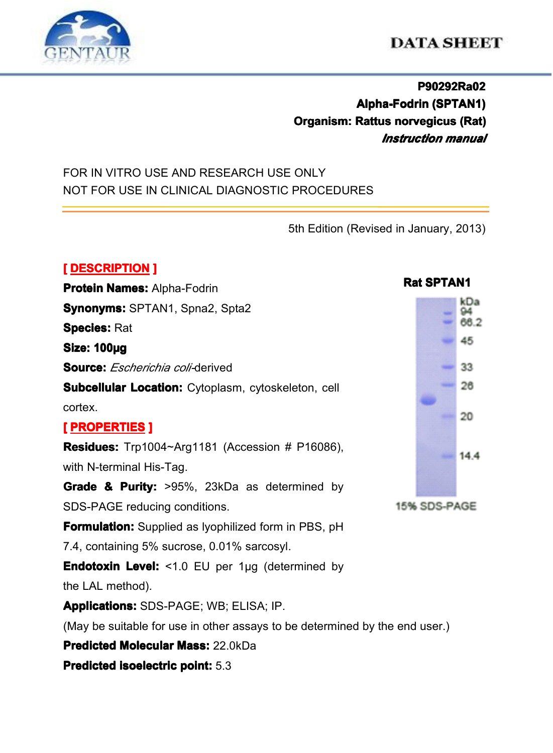

# **DATA SHEET**

## **P90292Ra02 Alpha-Fodrin Alpha-Fodrin(SPTAN1) (SPTAN1) Organism: Rattus norvegicus (Rat)** *Instruction manual*

## FOR IN VITRO USE AND RESEARCH USE ONLY NOT FOR USE IN CLINICAL DIAGNOSTIC PROCEDURES

5th Edition (Revised in January, 2013)

## **[ DESCRIPTION DESCRIPTION]**

**Protein Names: Alpha-Fodrin Synonyms: Synonyms:** SPTAN1, Spna2, Spta2 **Species:** Rat **Size: 100µg Source: Source: Source:***Escherichia coli-*derived **Subcellular Location:** Cytoplasm, cytoskeleton, cell cortex. **[ PROPERTIES PROPERTIESPROPERTIES] Residues:** Trp1004~Arg1181 (Accession # P16086), with N-terminal His-Tag. **Grade & Purity:**  $>95\%$ . 23kDa as determined by SDS-PAGE reducing conditions. **Formulation:** Supplied as Ivophilized form in PBS, pH 7.4, containing 5% sucrose, 0.01% sarcosyl. **Endotoxin Level:** <1.0 EU per 1μg (determined by the LAL method). **Applications: Applications:**SDS-PAGE; WB; ELISA; IP. (May be suitable for use in other assays to be determined by the end user.) **Predicted Molecular Mass: 22.0kDa Predicted isoelectric [isoelectric](app:ds:  isoelectric point) point:** 5.3